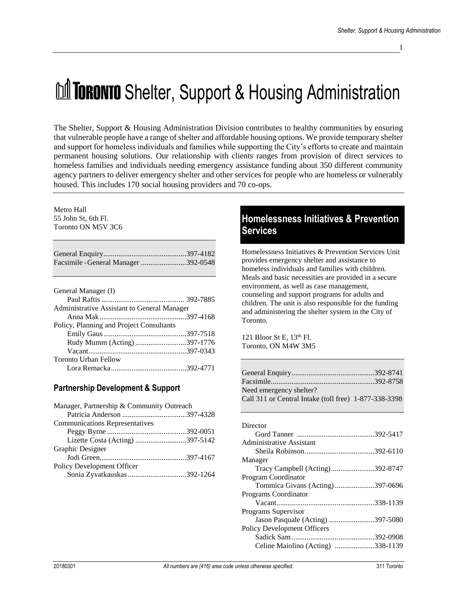# **MI TORONTO** Shelter, Support & Housing Administration

The Shelter, Support & Housing Administration Division contributes to healthy communities by ensuring that vulnerable people have a range of shelter and affordable housing options. We provide temporary shelter and support for homeless individuals and families while supporting the City's efforts to create and maintain permanent housing solutions. Our relationship with clients ranges from provision of direct services to homeless families and individuals needing emergency assistance funding about 350 different community agency partners to deliver emergency shelter and other services for people who are homeless or vulnerably housed. This includes 170 social housing providers and 70 co-ops.

#### Metro Hall 55 John St, 6th Fl. Toronto ON M5V 3C6

| Facsimile - General Manager 392-0548 |  |
|--------------------------------------|--|
|                                      |  |

| General Manager (I)                         |  |
|---------------------------------------------|--|
|                                             |  |
| Administrative Assistant to General Manager |  |
|                                             |  |
| Policy, Planning and Project Consultants    |  |
|                                             |  |
| Rudy Mumm (Acting)397-1776                  |  |
|                                             |  |
| <b>Toronto Urban Fellow</b>                 |  |
|                                             |  |

# **Partnership Development & Support**

| Manager, Partnership & Community Outreach |  |
|-------------------------------------------|--|
|                                           |  |
| <b>Communications Representatives</b>     |  |
|                                           |  |
|                                           |  |
| Graphic Designer                          |  |
|                                           |  |
| Policy Development Officer                |  |
| Sonia Zyvatkauskas 392-1264               |  |

# **Homelessness Initiatives & Prevention Services**

Homelessness Initiatives & Prevention Services Unit provides emergency shelter and assistance to homeless individuals and families with children. Meals and basic necessities are provided in a secure environment, as well as case management, counseling and support programs for adults and children. The unit is also responsible for the funding and administering the shelter system in the City of Toronto.

121 Bloor St E, 13th Fl. Toronto, ON M4W 3M5

| Call 311 or Central Intake (toll free) 1-877-338-3398 |
|-------------------------------------------------------|
|                                                       |

| Director                           |  |
|------------------------------------|--|
|                                    |  |
| Administrative Assistant           |  |
|                                    |  |
| Manager                            |  |
| Tracy Campbell (Acting)392-8747    |  |
| Program Coordinator                |  |
| Tommica Givans (Acting)397-0696    |  |
| Programs Coordinator               |  |
|                                    |  |
| Programs Supervisor                |  |
| Jason Pasquale (Acting) 397-5080   |  |
| <b>Policy Development Officers</b> |  |
|                                    |  |
| Celine Maiolino (Acting) 338-1139  |  |
|                                    |  |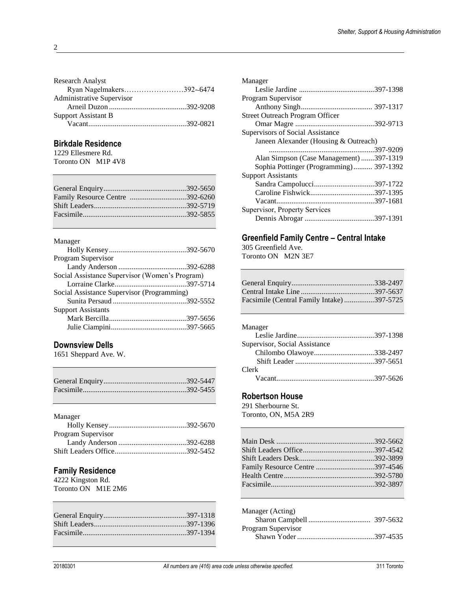| <b>Research Analyst</b>    |  |
|----------------------------|--|
| Ryan Nagelmakers392-6474   |  |
| Administrative Supervisor  |  |
|                            |  |
| <b>Support Assistant B</b> |  |
|                            |  |
|                            |  |

#### **Birkdale Residence**

1229 Ellesmere Rd. Toronto ON M1P 4V8

| Family Resource Centre 392-6260 |  |
|---------------------------------|--|
|                                 |  |
|                                 |  |
|                                 |  |

#### Manager

| Social Assistance Supervisor (Women's Program) |
|------------------------------------------------|
|                                                |
|                                                |
|                                                |
|                                                |
|                                                |
|                                                |
|                                                |

#### **Downsview Dells**

1651 Sheppard Ave. W.

| Manager            |  |
|--------------------|--|
|                    |  |
| Program Supervisor |  |
|                    |  |
|                    |  |

#### **Family Residence**

4222 Kingston Rd. Toronto ON M1E 2M6

| Manager                                 |  |
|-----------------------------------------|--|
|                                         |  |
| Program Supervisor                      |  |
|                                         |  |
| <b>Street Outreach Program Officer</b>  |  |
|                                         |  |
| Supervisors of Social Assistance        |  |
| Janeen Alexander (Housing & Outreach)   |  |
|                                         |  |
| Alan Simpson (Case Management) 397-1319 |  |
| Sophia Pottinger (Programming) 397-1392 |  |
| <b>Support Assistants</b>               |  |
|                                         |  |
|                                         |  |
|                                         |  |
| Supervisor, Property Services           |  |
|                                         |  |

#### **Greenfield Family Centre – Central Intake**

305 Greenfield Ave.

Toronto ON M2N 3E7

| Facsimile (Central Family Intake)397-5725 |  |
|-------------------------------------------|--|

| Manager                       |  |
|-------------------------------|--|
|                               |  |
| Supervisor, Social Assistance |  |
|                               |  |
|                               |  |
| Clerk                         |  |
|                               |  |

#### **Robertson House**

291 Sherbourne St. Toronto, ON, M5A 2R9

| Manager (Acting)   |  |
|--------------------|--|
|                    |  |
| Program Supervisor |  |
|                    |  |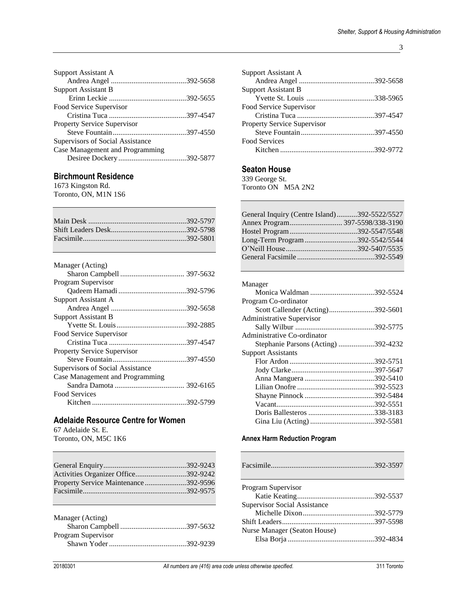3

| <b>Support Assistant A</b>         |  |
|------------------------------------|--|
|                                    |  |
| <b>Support Assistant B</b>         |  |
|                                    |  |
| Food Service Supervisor            |  |
|                                    |  |
| <b>Property Service Supervisor</b> |  |
|                                    |  |
| Supervisors of Social Assistance   |  |
| Case Management and Programming    |  |
|                                    |  |
|                                    |  |

#### **Birchmount Residence**

1673 Kingston Rd. Toronto, ON, M1N 1S6

| Manager (Acting)                   |  |
|------------------------------------|--|
|                                    |  |
| Program Supervisor                 |  |
|                                    |  |
| Support Assistant A                |  |
|                                    |  |
| Support Assistant B                |  |
|                                    |  |
| Food Service Supervisor            |  |
|                                    |  |
| <b>Property Service Supervisor</b> |  |
|                                    |  |
| Supervisors of Social Assistance   |  |
| Case Management and Programming    |  |
|                                    |  |
| Food Services                      |  |
|                                    |  |

#### **Adelaide Resource Centre for Women**

67 Adelaide St. E.

Toronto, ON, M5C 1K6

| Activities Organizer Office392-9242  |  |
|--------------------------------------|--|
| Property Service Maintenance392-9596 |  |
|                                      |  |
|                                      |  |

| Manager (Acting)   |  |
|--------------------|--|
|                    |  |
| Program Supervisor |  |
|                    |  |
|                    |  |

| <b>Support Assistant A</b>         |  |
|------------------------------------|--|
|                                    |  |
| <b>Support Assistant B</b>         |  |
|                                    |  |
| Food Service Supervisor            |  |
|                                    |  |
| <b>Property Service Supervisor</b> |  |
|                                    |  |
| <b>Food Services</b>               |  |
|                                    |  |
|                                    |  |

#### **Seaton House**

339 George St. Toronto ON M5A 2N2

| General Inquiry (Centre Island)392-5522/5527 |  |
|----------------------------------------------|--|
|                                              |  |
|                                              |  |
| Long-Term Program392-5542/5544               |  |
|                                              |  |
|                                              |  |

| Manager                             |  |
|-------------------------------------|--|
|                                     |  |
| Program Co-ordinator                |  |
| Scott Callender (Acting)392-5601    |  |
| Administrative Supervisor           |  |
|                                     |  |
| Administrative Co-ordinator         |  |
| Stephanie Parsons (Acting) 392-4232 |  |
| <b>Support Assistants</b>           |  |
|                                     |  |
|                                     |  |
|                                     |  |
|                                     |  |
|                                     |  |
|                                     |  |
|                                     |  |
| Gina Liu (Acting) 392-5581          |  |
|                                     |  |

#### **Annex Harm Reduction Program**

| Program Supervisor                  |  |
|-------------------------------------|--|
|                                     |  |
| <b>Supervisor Social Assistance</b> |  |
|                                     |  |
|                                     |  |
| Nurse Manager (Seaton House)        |  |
|                                     |  |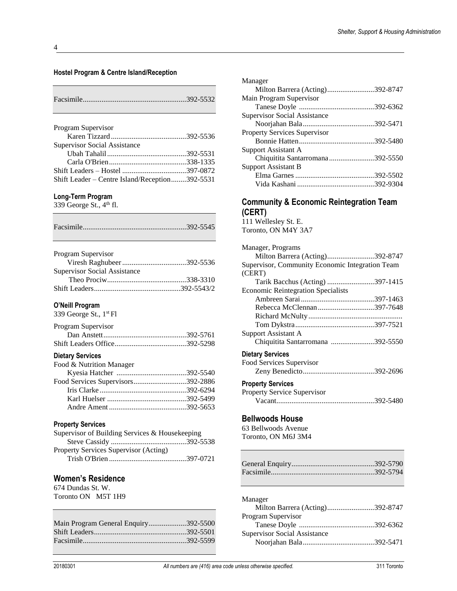#### **Hostel Program & Centre Island/Reception**

| Program Supervisor                             |  |
|------------------------------------------------|--|
|                                                |  |
| <b>Supervisor Social Assistance</b>            |  |
|                                                |  |
|                                                |  |
|                                                |  |
| Shift Leader – Centre Island/Reception392-5531 |  |

#### **Long-Term Program**

339 George St.,  $4<sup>th</sup>$  fl.

|--|

| Program Supervisor                  |  |
|-------------------------------------|--|
|                                     |  |
| <b>Supervisor Social Assistance</b> |  |
|                                     |  |
|                                     |  |

#### **O'Neill Program**

339 George St., 1st Fl

| Program Supervisor |  |
|--------------------|--|
|                    |  |
|                    |  |

#### **Dietary Services**

| Food & Nutrition Manager          |  |
|-----------------------------------|--|
|                                   |  |
| Food Services Supervisors392-2886 |  |
|                                   |  |
|                                   |  |
|                                   |  |
|                                   |  |

#### **Property Services**

| Supervisor of Building Services & Housekeeping |  |
|------------------------------------------------|--|
|                                                |  |
| Property Services Supervisor (Acting)          |  |
|                                                |  |

#### **Women's Residence**

674 Dundas St. W. Toronto ON M5T 1H9

| Main Program General Enquiry392-5500 |  |
|--------------------------------------|--|
|                                      |  |
|                                      |  |
|                                      |  |

| Manager                         |  |
|---------------------------------|--|
| Milton Barrera (Acting)392-8747 |  |
| Main Program Supervisor         |  |
|                                 |  |
| Supervisor Social Assistance    |  |
|                                 |  |
| Property Services Supervisor    |  |
|                                 |  |
| Support Assistant A             |  |
| Chiquitita Santarromana392-5550 |  |
| <b>Support Assistant B</b>      |  |
|                                 |  |
|                                 |  |
|                                 |  |

#### **Community & Economic Reintegration Team (CERT)**

111 Wellesley St. E. Toronto, ON M4Y 3A7 Manager, Programs

| ivianagui, i rugramis                           |  |
|-------------------------------------------------|--|
| Milton Barrera (Acting)392-8747                 |  |
| Supervisor, Community Economic Integration Team |  |
| (CERT)                                          |  |
| Tarik Bacchus (Acting) 397-1415                 |  |
| <b>Economic Reintegration Specialists</b>       |  |
|                                                 |  |
| Rebecca McClennan397-7648                       |  |
|                                                 |  |
|                                                 |  |
| Support Assistant A                             |  |
| Chiquitita Santarromana 392-5550                |  |
| <b>Dietary Services</b>                         |  |
| Food Services Supervisor                        |  |
|                                                 |  |
| <b>Property Services</b>                        |  |
|                                                 |  |

| <b>Property Service Supervisor</b> |  |
|------------------------------------|--|
|                                    |  |

#### **Bellwoods House**

63 Bellwoods Avenue Toronto, ON M6J 3M4

| Manager                             |  |
|-------------------------------------|--|
| Milton Barrera (Acting)392-8747     |  |
| Program Supervisor                  |  |
|                                     |  |
| <b>Supervisor Social Assistance</b> |  |
|                                     |  |
|                                     |  |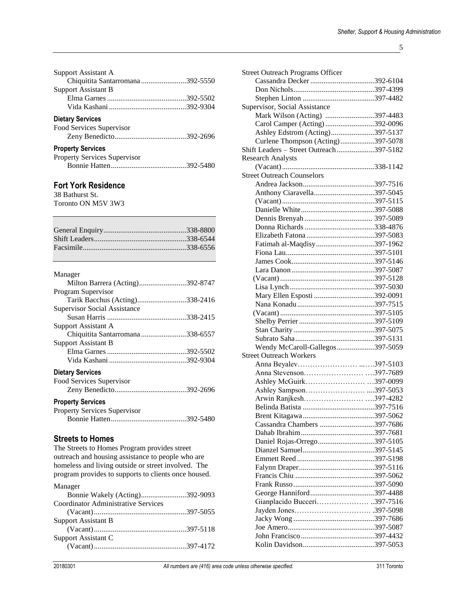| Support Assistant A             |  |
|---------------------------------|--|
| Chiquitita Santarromana392-5550 |  |
| <b>Support Assistant B</b>      |  |
|                                 |  |
|                                 |  |
| <b>Dietary Services</b>         |  |

| Food Services Supervisor |  |
|--------------------------|--|
|                          |  |

#### **Property Services**

| <b>Property Services Supervisor</b> |  |
|-------------------------------------|--|
|                                     |  |

# **Fort York Residence**

38 Bathurst St. Toronto ON M5V 3W3

#### Manager

| Milton Barrera (Acting)392-8747 |  |
|---------------------------------|--|
| Program Supervisor              |  |
| Tarik Bacchus (Acting)338-2416  |  |
| Supervisor Social Assistance    |  |
|                                 |  |
| Support Assistant A             |  |
| Chiquitita Santarromana338-6557 |  |
| <b>Support Assistant B</b>      |  |
|                                 |  |
|                                 |  |
| <b>Dietary Services</b>         |  |
| Food Services Supervisor        |  |

| Food Services Supervisor            |  |
|-------------------------------------|--|
|                                     |  |
| <b>Property Services</b>            |  |
| <b>Property Services Supervisor</b> |  |

| r roperty Bervices Bupervisor |  |
|-------------------------------|--|
|                               |  |

#### **Streets to Homes**

The Streets to Homes Program provides street outreach and housing assistance to people who are homeless and living outside or street involved. The program provides to supports to clients once housed.

| Manager                                    |  |
|--------------------------------------------|--|
| Bonnie Wakely (Acting)392-9093             |  |
| <b>Coordinator Administrative Services</b> |  |
|                                            |  |
| Support Assistant B                        |  |
|                                            |  |
| Support Assistant C                        |  |
|                                            |  |

| <b>Street Outreach Programs Officer</b> |  |
|-----------------------------------------|--|
|                                         |  |
|                                         |  |
|                                         |  |
| Supervisor, Social Assistance           |  |
| Mark Wilson (Acting) 397-4483           |  |
|                                         |  |
| Carol Camper (Acting)392-0096           |  |
| Ashley Edstrom (Acting)397-5137         |  |
| Curlene Thompson (Acting)397-5078       |  |
| Shift Leaders - Street Outreach397-5182 |  |
| <b>Research Analysts</b>                |  |
|                                         |  |
| <b>Street Outreach Counselors</b>       |  |
|                                         |  |
|                                         |  |
|                                         |  |
|                                         |  |
|                                         |  |
|                                         |  |
|                                         |  |
| Fatimah al-Maqdisy397-1962              |  |
|                                         |  |
|                                         |  |
|                                         |  |
|                                         |  |
|                                         |  |
| Mary Ellen Esposti 392-0091             |  |
|                                         |  |
|                                         |  |
|                                         |  |
|                                         |  |
|                                         |  |
|                                         |  |
| Wendy McCaroll-Gallegos397-5059         |  |
| <b>Street Outreach Workers</b>          |  |
|                                         |  |
| Anna Stevenson397-7689                  |  |
| Ashley McGuirk397-0099                  |  |
|                                         |  |
| Arwin Ranjkesh397-4282                  |  |
|                                         |  |
|                                         |  |
| Cassandra Chambers 397-7686             |  |
|                                         |  |
| Daniel Rojas-Orrego397-5105             |  |
|                                         |  |
|                                         |  |
|                                         |  |
|                                         |  |
|                                         |  |
| George Hanniford397-4488                |  |
| Gianplacido Bucceri397-7516             |  |
|                                         |  |
|                                         |  |
|                                         |  |
|                                         |  |
|                                         |  |
|                                         |  |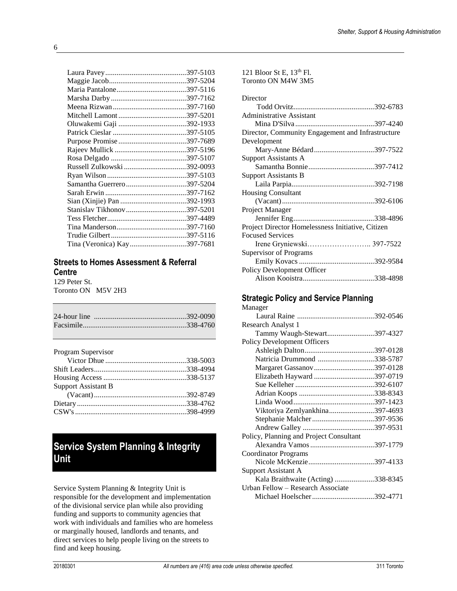| Stanislav Tikhonov397-5201  |  |
|-----------------------------|--|
|                             |  |
|                             |  |
|                             |  |
| Tina (Veronica) Kay397-7681 |  |
|                             |  |

#### **Streets to Homes Assessment & Referral Centre**

129 Peter St. Toronto ON M5V 2H3

| Program Supervisor         |  |
|----------------------------|--|
|                            |  |
|                            |  |
|                            |  |
| <b>Support Assistant B</b> |  |
|                            |  |
|                            |  |
|                            |  |
|                            |  |

# **Service System Planning & Integrity Unit**

Service System Planning & Integrity Unit is responsible for the development and implementation of the divisional service plan while also providing funding and supports to community agencies that work with individuals and families who are homeless or marginally housed, landlords and tenants, and direct services to help people living on the streets to find and keep housing.

| Toronto ON M4W 3M5                                |  |
|---------------------------------------------------|--|
| Director                                          |  |
|                                                   |  |
| Administrative Assistant                          |  |
|                                                   |  |
| Director, Community Engagement and Infrastructure |  |
| Development                                       |  |
| Mary-Anne Bédard397-7522                          |  |
| <b>Support Assistants A</b>                       |  |
|                                                   |  |
| <b>Support Assistants B</b>                       |  |
|                                                   |  |
| <b>Housing Consultant</b>                         |  |
|                                                   |  |
| Project Manager                                   |  |
|                                                   |  |
| Project Director Homelessness Initiative, Citizen |  |
| <b>Focused Services</b>                           |  |
|                                                   |  |
| Supervisor of Programs                            |  |
|                                                   |  |
| Policy Development Officer                        |  |
|                                                   |  |

121 Bloor St E, 13th Fl.

#### **Strategic Policy and Service Planning**

| Manager                                 |  |
|-----------------------------------------|--|
|                                         |  |
| Research Analyst 1                      |  |
| Tammy Waugh-Stewart397-4327             |  |
| <b>Policy Development Officers</b>      |  |
|                                         |  |
| Natricia Drummond 338-5787              |  |
| Margaret Gassanov397-0128               |  |
| Elizabeth Hayward 397-0719              |  |
|                                         |  |
|                                         |  |
|                                         |  |
| Viktoriya Zemlyankhina397-4693          |  |
| Stephanie Malcher 397-9536              |  |
|                                         |  |
| Policy, Planning and Project Consultant |  |
|                                         |  |
| Coordinator Programs                    |  |
|                                         |  |
| <b>Support Assistant A</b>              |  |
| Kala Braithwaite (Acting) 338-8345      |  |
| Urban Fellow - Research Associate       |  |
| Michael Hoelscher392-4771               |  |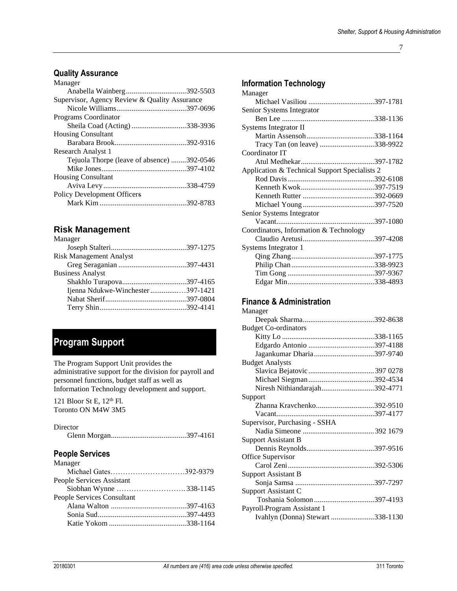7

### **Quality Assurance**

| Manager                                       |  |
|-----------------------------------------------|--|
|                                               |  |
| Supervisor, Agency Review & Quality Assurance |  |
|                                               |  |
| Programs Coordinator                          |  |
| Sheila Coad (Acting)338-3936                  |  |
| <b>Housing Consultant</b>                     |  |
|                                               |  |
| Research Analyst 1                            |  |
| Tejuola Thorpe (leave of absence) 392-0546    |  |
|                                               |  |
| <b>Housing Consultant</b>                     |  |
|                                               |  |
| <b>Policy Development Officers</b>            |  |
|                                               |  |

#### **Risk Management**

| Manager                           |  |
|-----------------------------------|--|
|                                   |  |
| <b>Risk Management Analyst</b>    |  |
|                                   |  |
| <b>Business Analyst</b>           |  |
|                                   |  |
| Ijenna Ndukwe-Winchester 397-1421 |  |
|                                   |  |
|                                   |  |
|                                   |  |

# **Program Support**

The Program Support Unit provides the administrative support for the division for payroll and personnel functions, budget staff as well as Information Technology development and support.

121 Bloor St E, 12<sup>th</sup> Fl. Toronto ON M4W 3M5

|--|--|

# **People Services**

| Michael Gates392-9379  |
|------------------------|
|                        |
| Siobhan Wynne 338-1145 |
|                        |
|                        |
|                        |
|                        |
|                        |

# **Information Technology**

| Manager                                       |  |
|-----------------------------------------------|--|
|                                               |  |
| Senior Systems Integrator                     |  |
|                                               |  |
| Systems Integrator II                         |  |
|                                               |  |
| Tracy Tan (on leave) 338-9922                 |  |
| Coordinator IT                                |  |
|                                               |  |
| Application & Technical Support Specialists 2 |  |
|                                               |  |
|                                               |  |
|                                               |  |
|                                               |  |
| Senior Systems Integrator                     |  |
|                                               |  |
| Coordinators, Information & Technology        |  |
|                                               |  |
| Systems Integrator 1                          |  |
|                                               |  |
|                                               |  |
|                                               |  |
|                                               |  |

# **Finance & Administration**

| Manager                          |  |
|----------------------------------|--|
|                                  |  |
| <b>Budget Co-ordinators</b>      |  |
|                                  |  |
|                                  |  |
|                                  |  |
| <b>Budget Analysts</b>           |  |
|                                  |  |
|                                  |  |
| Niresh Nithiandarajah392-4771    |  |
| Support                          |  |
| Zhanna Kravchenko392-9510        |  |
|                                  |  |
| Supervisor, Purchasing - SSHA    |  |
|                                  |  |
| <b>Support Assistant B</b>       |  |
|                                  |  |
| Office Supervisor                |  |
|                                  |  |
| <b>Support Assistant B</b>       |  |
|                                  |  |
| Support Assistant C              |  |
|                                  |  |
| Payroll Program Assistant 1      |  |
| Ivahlyn (Donna) Stewart 338-1130 |  |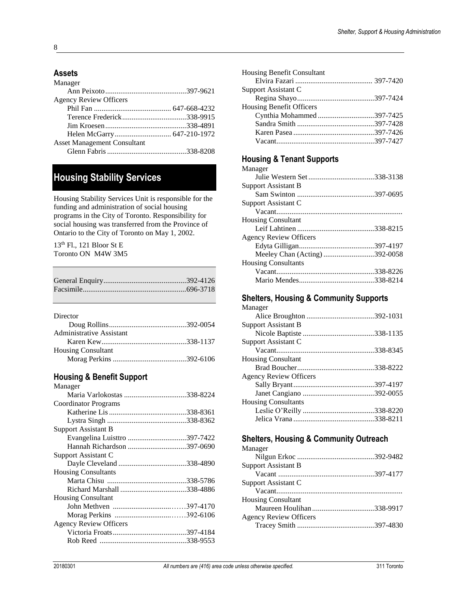# **Assets**

| Manager                            |  |
|------------------------------------|--|
|                                    |  |
| <b>Agency Review Officers</b>      |  |
|                                    |  |
|                                    |  |
|                                    |  |
|                                    |  |
| <b>Asset Management Consultant</b> |  |
|                                    |  |

# **Housing Stability Services**

Housing Stability Services Unit is responsible for the funding and administration of social housing programs in the City of Toronto. Responsibility for social housing was transferred from the Province of Ontario to the City of Toronto on May 1, 2002.

13th Fl., 121 Bloor St E Toronto ON M4W 3M5

Director

| .                         |  |
|---------------------------|--|
|                           |  |
| Administrative Assistant  |  |
|                           |  |
| <b>Housing Consultant</b> |  |
|                           |  |
|                           |  |

#### **Housing & Benefit Support**

| Manager                       |  |
|-------------------------------|--|
| Maria Varlokostas 338-8224    |  |
| Coordinator Programs          |  |
|                               |  |
|                               |  |
| Support Assistant B           |  |
| Evangelina Luisttro 397-7422  |  |
|                               |  |
| Support Assistant C           |  |
|                               |  |
| <b>Housing Consultants</b>    |  |
|                               |  |
|                               |  |
| <b>Housing Consultant</b>     |  |
|                               |  |
|                               |  |
| <b>Agency Review Officers</b> |  |
|                               |  |
|                               |  |
|                               |  |

| <b>Housing Benefit Consultant</b> |  |
|-----------------------------------|--|
|                                   |  |
| Support Assistant C               |  |
|                                   |  |
| <b>Housing Benefit Officers</b>   |  |
| Cynthia Mohammed397-7425          |  |
|                                   |  |
|                                   |  |
|                                   |  |

#### **Housing & Tenant Supports**

| Manager                       |  |
|-------------------------------|--|
|                               |  |
| <b>Support Assistant B</b>    |  |
|                               |  |
| Support Assistant C           |  |
|                               |  |
| <b>Housing Consultant</b>     |  |
|                               |  |
| <b>Agency Review Officers</b> |  |
|                               |  |
| Meeley Chan (Acting)392-0058  |  |
| <b>Housing Consultants</b>    |  |
|                               |  |
|                               |  |

# **Shelters, Housing & Community Supports**

# **Shelters, Housing & Community Outreach**

| Manager                       |  |
|-------------------------------|--|
|                               |  |
| <b>Support Assistant B</b>    |  |
|                               |  |
| Support Assistant C           |  |
|                               |  |
| <b>Housing Consultant</b>     |  |
|                               |  |
| <b>Agency Review Officers</b> |  |
|                               |  |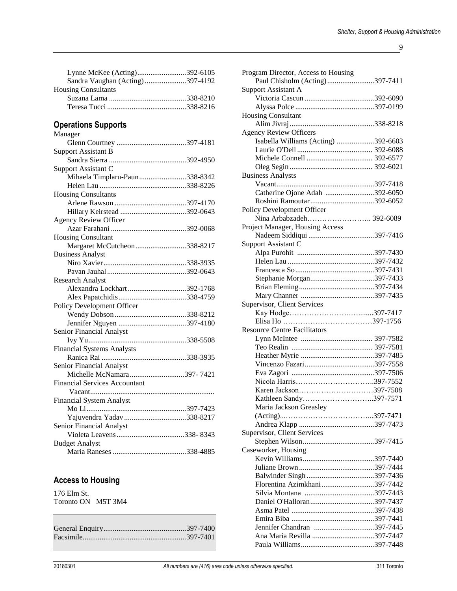9

| Sandra Vaughan (Acting)397-4192 |  |
|---------------------------------|--|
| <b>Housing Consultants</b>      |  |
|                                 |  |
|                                 |  |

# **Operations Supports**

| Manager                              |
|--------------------------------------|
|                                      |
| <b>Support Assistant B</b>           |
|                                      |
| Support Assistant C                  |
| Mihaela Timplaru-Paun338-8342        |
|                                      |
| <b>Housing Consultants</b>           |
|                                      |
|                                      |
| <b>Agency Review Officer</b>         |
|                                      |
| <b>Housing Consultant</b>            |
| Margaret McCutcheon338-8217          |
| <b>Business Analyst</b>              |
|                                      |
|                                      |
| <b>Research Analyst</b>              |
| Alexandra Lockhart392-1768           |
|                                      |
| Policy Development Officer           |
|                                      |
|                                      |
| Senior Financial Analyst             |
|                                      |
| <b>Financial Systems Analysts</b>    |
|                                      |
| Senior Financial Analyst             |
| Michelle McNamara397-7421            |
| <b>Financial Services Accountant</b> |
|                                      |
| <b>Financial System Analyst</b>      |
|                                      |
| Yajuvendra Yadav338-8217             |
| Senior Financial Analyst             |
|                                      |
| <b>Budget Analyst</b>                |
|                                      |

# **Access to Housing**

176 Elm St. Toronto ON M5T 3M4

| Program Director, Access to Housing |  |
|-------------------------------------|--|
| Paul Chisholm (Acting)397-7411      |  |
| <b>Support Assistant A</b>          |  |
|                                     |  |
|                                     |  |
| <b>Housing Consultant</b>           |  |
|                                     |  |
| <b>Agency Review Officers</b>       |  |
| Isabella Williams (Acting) 392-6603 |  |
|                                     |  |
|                                     |  |
|                                     |  |
|                                     |  |
| <b>Business Analysts</b>            |  |
|                                     |  |
| Catherine Ojone Adah 392-6050       |  |
| Roshini Ramoutar392-6052            |  |
| Policy Development Officer          |  |
| Nina Arbabzadeh 392-6089            |  |
| Project Manager, Housing Access     |  |
|                                     |  |
| Support Assistant C                 |  |
|                                     |  |
|                                     |  |
|                                     |  |
| Stephanie Morgan397-7433            |  |
|                                     |  |
|                                     |  |
|                                     |  |
| Supervisor, Client Services         |  |
|                                     |  |
|                                     |  |
| <b>Resource Centre Facilitators</b> |  |
|                                     |  |
|                                     |  |
|                                     |  |
|                                     |  |
|                                     |  |
|                                     |  |
| Karen Jackson397-7508               |  |
| Kathleen Sandy397-7571              |  |
| Maria Jackson Greasley              |  |
|                                     |  |
|                                     |  |
|                                     |  |
| Supervisor, Client Services         |  |
|                                     |  |
| Caseworker, Housing                 |  |
|                                     |  |
|                                     |  |
|                                     |  |
| Florentina Azimkhani397-7442        |  |
|                                     |  |
|                                     |  |
|                                     |  |
|                                     |  |
|                                     |  |
| Ana Maria Revilla 397-7447          |  |
|                                     |  |
|                                     |  |